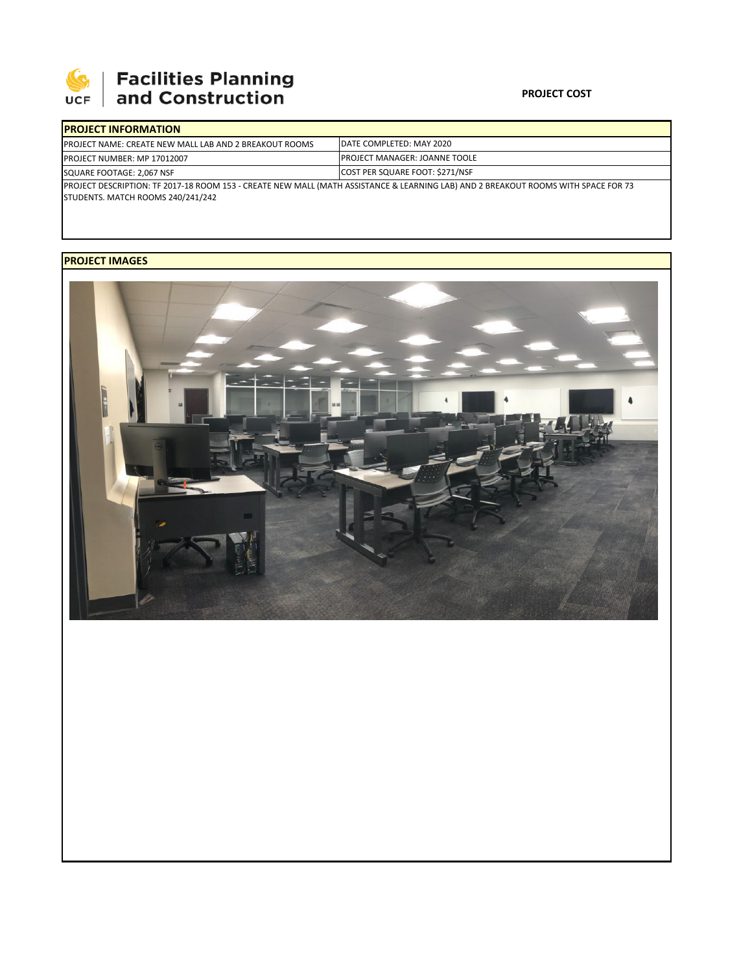

# 

#### **PROJECT COST**

| <b>IPROJECT INFORMATION</b>                                                                                                                                             |                                      |  |
|-------------------------------------------------------------------------------------------------------------------------------------------------------------------------|--------------------------------------|--|
| <b>IPROJECT NAME: CREATE NEW MALL LAB AND 2 BREAKOUT ROOMS</b>                                                                                                          | <b>IDATE COMPLETED: MAY 2020</b>     |  |
| <b>PROJECT NUMBER: MP 17012007</b>                                                                                                                                      | <b>PROJECT MANAGER: JOANNE TOOLE</b> |  |
| SQUARE FOOTAGE: 2,067 NSF                                                                                                                                               | COST PER SQUARE FOOT: \$271/NSF      |  |
| PROJECT DESCRIPTION: TF 2017-18 ROOM 153 - CREATE NEW MALL (MATH ASSISTANCE & LEARNING LAB) AND 2 BREAKOUT ROOMS WITH SPACE FOR 73<br>STUDENTS. MATCH ROOMS 240/241/242 |                                      |  |

## **PROJECT IMAGES**